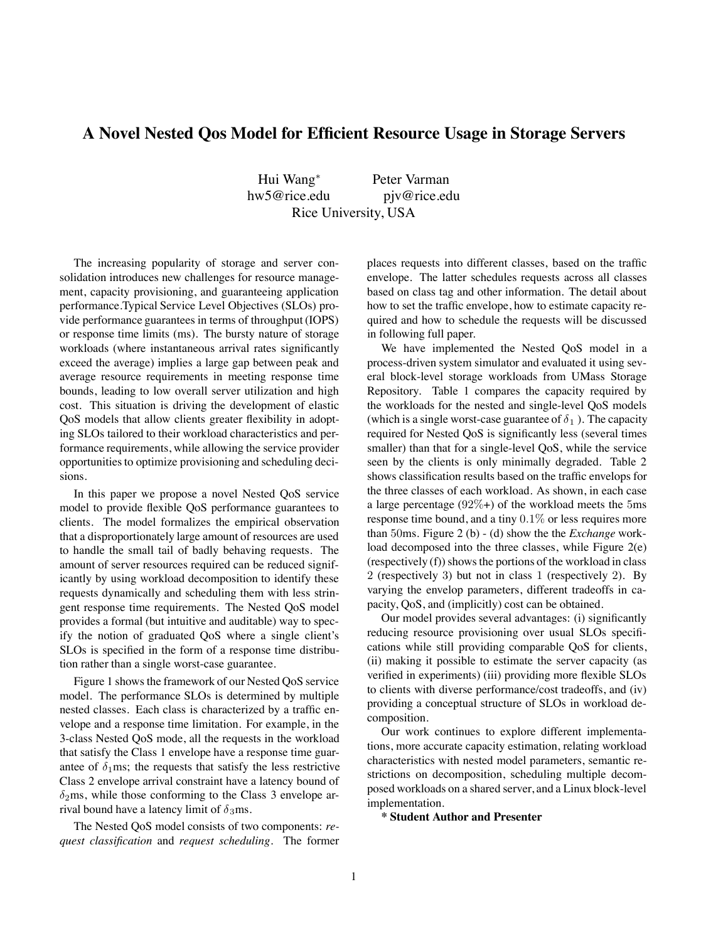## **A Novel Nested Qos Model for Efficient Resource Usage in Storage Servers**

Hui Wang<sup>∗</sup> Peter Varman hw5@rice.edu pjv@rice.edu Rice University, USA

The increasing popularity of storage and server consolidation introduces new challenges for resource management, capacity provisioning, and guaranteeing application performance.Typical Service Level Objectives (SLOs) provide performance guarantees in terms of throughput (IOPS) or response time limits (ms). The bursty nature of storage workloads (where instantaneous arrival rates significantly exceed the average) implies a large gap between peak and average resource requirements in meeting response time bounds, leading to low overall server utilization and high cost. This situation is driving the development of elastic QoS models that allow clients greater flexibility in adopting SLOs tailored to their workload characteristics and performance requirements, while allowing the service provider opportunities to optimize provisioning and scheduling decisions.

In this paper we propose a novel Nested QoS service model to provide flexible QoS performance guarantees to clients. The model formalizes the empirical observation that a disproportionately large amount of resources are used to handle the small tail of badly behaving requests. The amount of server resources required can be reduced significantly by using workload decomposition to identify these requests dynamically and scheduling them with less stringent response time requirements. The Nested QoS model provides a formal (but intuitive and auditable) way to specify the notion of graduated QoS where a single client's SLOs is specified in the form of a response time distribution rather than a single worst-case guarantee.

Figure 1 shows the framework of our Nested QoS service model. The performance SLOs is determined by multiple nested classes. Each class is characterized by a traffic envelope and a response time limitation. For example, in the 3-class Nested QoS mode, all the requests in the workload that satisfy the Class 1 envelope have a response time guarantee of  $\delta_1$ ms; the requests that satisfy the less restrictive Class 2 envelope arrival constraint have a latency bound of  $\delta_2$ ms, while those conforming to the Class 3 envelope arrival bound have a latency limit of  $\delta_3$ ms.

The Nested QoS model consists of two components: *request classification* and *request scheduling*. The former places requests into different classes, based on the traffic envelope. The latter schedules requests across all classes based on class tag and other information. The detail about how to set the traffic envelope, how to estimate capacity required and how to schedule the requests will be discussed in following full paper.

We have implemented the Nested QoS model in a process-driven system simulator and evaluated it using several block-level storage workloads from UMass Storage Repository. Table 1 compares the capacity required by the workloads for the nested and single-level QoS models (which is a single worst-case guarantee of  $\delta_1$ ). The capacity required for Nested QoS is significantly less (several times smaller) than that for a single-level QoS, while the service seen by the clients is only minimally degraded. Table 2 shows classification results based on the traffic envelops for the three classes of each workload. As shown, in each case a large percentage  $(92\%)$  of the workload meets the 5ms response time bound, and a tiny 0.1% or less requires more than 50ms. Figure 2 (b) - (d) show the the *Exchange* workload decomposed into the three classes, while Figure 2(e) (respectively (f)) shows the portions of the workload in class 2 (respectively 3) but not in class 1 (respectively 2). By varying the envelop parameters, different tradeoffs in capacity, QoS, and (implicitly) cost can be obtained.

Our model provides several advantages: (i) significantly reducing resource provisioning over usual SLOs specifications while still providing comparable QoS for clients, (ii) making it possible to estimate the server capacity (as verified in experiments) (iii) providing more flexible SLOs to clients with diverse performance/cost tradeoffs, and (iv) providing a conceptual structure of SLOs in workload decomposition.

Our work continues to explore different implementations, more accurate capacity estimation, relating workload characteristics with nested model parameters, semantic restrictions on decomposition, scheduling multiple decomposed workloads on a shared server, and a Linux block-level implementation.

**\* Student Author and Presenter**